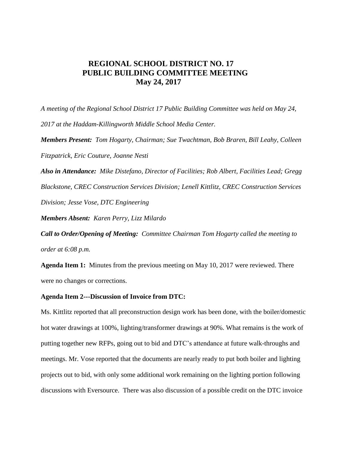# **REGIONAL SCHOOL DISTRICT NO. 17 PUBLIC BUILDING COMMITTEE MEETING May 24, 2017**

*A meeting of the Regional School District 17 Public Building Committee was held on May 24, 2017 at the Haddam-Killingworth Middle School Media Center.*

*Members Present: Tom Hogarty, Chairman; Sue Twachtman, Bob Braren, Bill Leahy, Colleen Fitzpatrick, Eric Couture, Joanne Nesti*

*Also in Attendance: Mike Distefano, Director of Facilities; Rob Albert, Facilities Lead; Gregg Blackstone, CREC Construction Services Division; Lenell Kittlitz, CREC Construction Services Division; Jesse Vose, DTC Engineering*

*Members Absent: Karen Perry, Lizz Milardo*

*Call to Order/Opening of Meeting: Committee Chairman Tom Hogarty called the meeting to order at 6:08 p.m.* 

**Agenda Item 1:** Minutes from the previous meeting on May 10, 2017 were reviewed. There were no changes or corrections.

## **Agenda Item 2---Discussion of Invoice from DTC:**

Ms. Kittlitz reported that all preconstruction design work has been done, with the boiler/domestic hot water drawings at 100%, lighting/transformer drawings at 90%. What remains is the work of putting together new RFPs, going out to bid and DTC's attendance at future walk-throughs and meetings. Mr. Vose reported that the documents are nearly ready to put both boiler and lighting projects out to bid, with only some additional work remaining on the lighting portion following discussions with Eversource. There was also discussion of a possible credit on the DTC invoice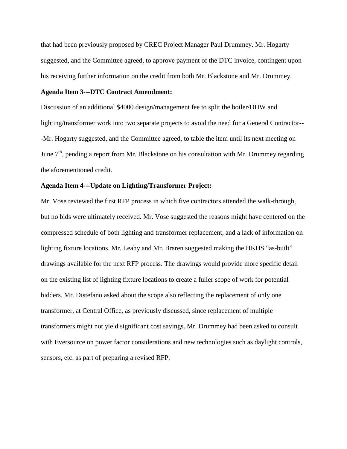that had been previously proposed by CREC Project Manager Paul Drummey. Mr. Hogarty suggested, and the Committee agreed, to approve payment of the DTC invoice, contingent upon his receiving further information on the credit from both Mr. Blackstone and Mr. Drummey.

#### **Agenda Item 3---DTC Contract Amendment:**

Discussion of an additional \$4000 design/management fee to split the boiler/DHW and lighting/transformer work into two separate projects to avoid the need for a General Contractor-- -Mr. Hogarty suggested, and the Committee agreed, to table the item until its next meeting on June  $7<sup>th</sup>$ , pending a report from Mr. Blackstone on his consultation with Mr. Drummey regarding the aforementioned credit.

#### **Agenda Item 4---Update on Lighting/Transformer Project:**

Mr. Vose reviewed the first RFP process in which five contractors attended the walk-through, but no bids were ultimately received. Mr. Vose suggested the reasons might have centered on the compressed schedule of both lighting and transformer replacement, and a lack of information on lighting fixture locations. Mr. Leahy and Mr. Braren suggested making the HKHS "as-built" drawings available for the next RFP process. The drawings would provide more specific detail on the existing list of lighting fixture locations to create a fuller scope of work for potential bidders. Mr. Distefano asked about the scope also reflecting the replacement of only one transformer, at Central Office, as previously discussed, since replacement of multiple transformers might not yield significant cost savings. Mr. Drummey had been asked to consult with Eversource on power factor considerations and new technologies such as daylight controls, sensors, etc. as part of preparing a revised RFP.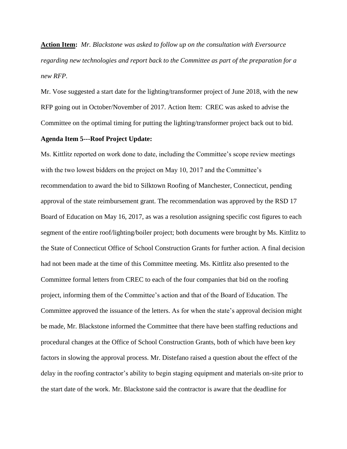**Action Item:** *Mr. Blackstone was asked to follow up on the consultation with Eversource regarding new technologies and report back to the Committee as part of the preparation for a new RFP.*

Mr. Vose suggested a start date for the lighting/transformer project of June 2018, with the new RFP going out in October/November of 2017. Action Item: CREC was asked to advise the Committee on the optimal timing for putting the lighting/transformer project back out to bid.

# **Agenda Item 5---Roof Project Update:**

Ms. Kittlitz reported on work done to date, including the Committee's scope review meetings with the two lowest bidders on the project on May 10, 2017 and the Committee's recommendation to award the bid to Silktown Roofing of Manchester, Connecticut, pending approval of the state reimbursement grant. The recommendation was approved by the RSD 17 Board of Education on May 16, 2017, as was a resolution assigning specific cost figures to each segment of the entire roof/lighting/boiler project; both documents were brought by Ms. Kittlitz to the State of Connecticut Office of School Construction Grants for further action. A final decision had not been made at the time of this Committee meeting. Ms. Kittlitz also presented to the Committee formal letters from CREC to each of the four companies that bid on the roofing project, informing them of the Committee's action and that of the Board of Education. The Committee approved the issuance of the letters. As for when the state's approval decision might be made, Mr. Blackstone informed the Committee that there have been staffing reductions and procedural changes at the Office of School Construction Grants, both of which have been key factors in slowing the approval process. Mr. Distefano raised a question about the effect of the delay in the roofing contractor's ability to begin staging equipment and materials on-site prior to the start date of the work. Mr. Blackstone said the contractor is aware that the deadline for